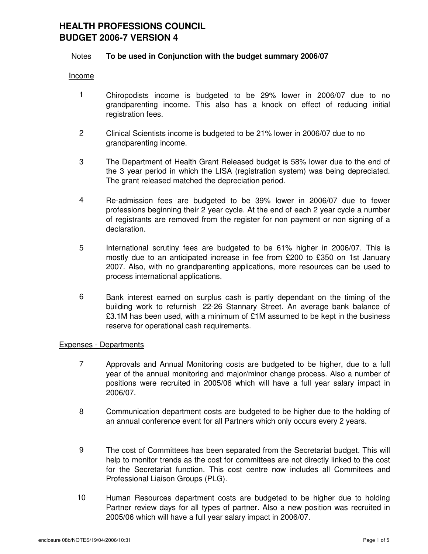### Notes **To be used in Conjunction with the budget summary 2006/07**

### Income

- 1 Chiropodists income is budgeted to be 29% lower in 2006/07 due to no grandparenting income. This also has a knock on effect of reducing initial registration fees.
- 2 Clinical Scientists income is budgeted to be 21% lower in 2006/07 due to no grandparenting income.
- 3 The Department of Health Grant Released budget is 58% lower due to the end of the 3 year period in which the LISA (registration system) was being depreciated. The grant released matched the depreciation period.
- 4 Re-admission fees are budgeted to be 39% lower in 2006/07 due to fewer professions beginning their 2 year cycle. At the end of each 2 year cycle a number of registrants are removed from the register for non payment or non signing of a declaration.
- 5 International scrutiny fees are budgeted to be 61% higher in 2006/07. This is mostly due to an anticipated increase in fee from £200 to £350 on 1st January 2007. Also, with no grandparenting applications, more resources can be used to process international applications.
- 6 Bank interest earned on surplus cash is partly dependant on the timing of the building work to refurnish 22-26 Stannary Street. An average bank balance of £3.1M has been used, with a minimum of £1M assumed to be kept in the business reserve for operational cash requirements.

### Expenses - Departments

- 7 Approvals and Annual Monitoring costs are budgeted to be higher, due to a full year of the annual monitoring and major/minor change process. Also a number of positions were recruited in 2005/06 which will have a full year salary impact in 2006/07.
- 8 Communication department costs are budgeted to be higher due to the holding of an annual conference event for all Partners which only occurs every 2 years.
- 9 The cost of Committees has been separated from the Secretariat budget. This will help to monitor trends as the cost for committees are not directly linked to the cost for the Secretariat function. This cost centre now includes all Commitees and Professional Liaison Groups (PLG).
- 10 Human Resources department costs are budgeted to be higher due to holding Partner review days for all types of partner. Also a new position was recruited in 2005/06 which will have a full year salary impact in 2006/07.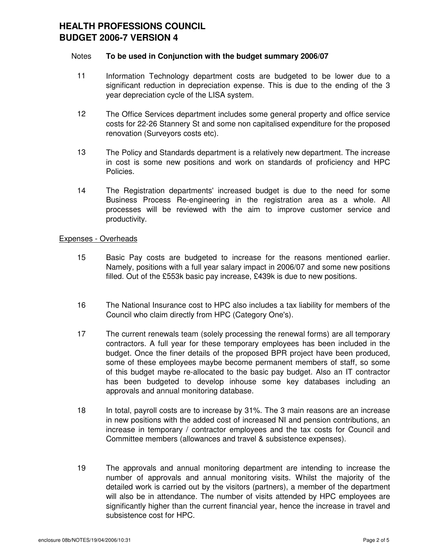### Notes **To be used in Conjunction with the budget summary 2006/07**

- 11 Information Technology department costs are budgeted to be lower due to a significant reduction in depreciation expense. This is due to the ending of the 3 year depreciation cycle of the LISA system.
- 12 The Office Services department includes some general property and office service costs for 22-26 Stannery St and some non capitalised expenditure for the proposed renovation (Surveyors costs etc).
- 13 The Policy and Standards department is a relatively new department. The increase in cost is some new positions and work on standards of proficiency and HPC Policies.
- 14 The Registration departments' increased budget is due to the need for some Business Process Re-engineering in the registration area as a whole. All processes will be reviewed with the aim to improve customer service and productivity.

#### Expenses - Overheads

- 15 Basic Pay costs are budgeted to increase for the reasons mentioned earlier. Namely, positions with a full year salary impact in 2006/07 and some new positions filled. Out of the £553k basic pay increase, £439k is due to new positions.
- 16 The National Insurance cost to HPC also includes a tax liability for members of the Council who claim directly from HPC (Category One's).
- 17 The current renewals team (solely processing the renewal forms) are all temporary contractors. A full year for these temporary employees has been included in the budget. Once the finer details of the proposed BPR project have been produced, some of these employees maybe become permanent members of staff, so some of this budget maybe re-allocated to the basic pay budget. Also an IT contractor has been budgeted to develop inhouse some key databases including an approvals and annual monitoring database.
- 18 In total, payroll costs are to increase by 31%. The 3 main reasons are an increase in new positions with the added cost of increased NI and pension contributions, an increase in temporary / contractor employees and the tax costs for Council and Committee members (allowances and travel & subsistence expenses).
- 19 The approvals and annual monitoring department are intending to increase the number of approvals and annual monitoring visits. Whilst the majority of the detailed work is carried out by the visitors (partners), a member of the department will also be in attendance. The number of visits attended by HPC employees are significantly higher than the current financial year, hence the increase in travel and subsistence cost for HPC.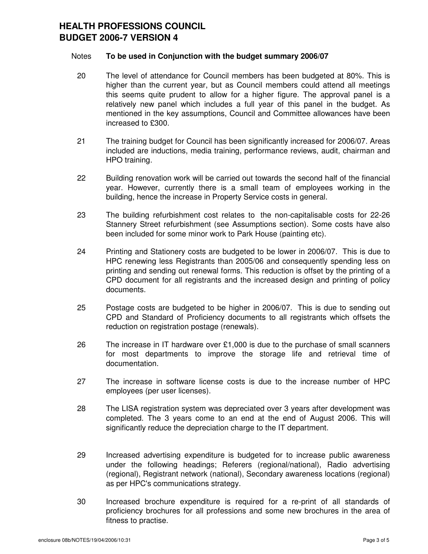### Notes **To be used in Conjunction with the budget summary 2006/07**

- 20 The level of attendance for Council members has been budgeted at 80%. This is higher than the current year, but as Council members could attend all meetings this seems quite prudent to allow for a higher figure. The approval panel is a relatively new panel which includes a full year of this panel in the budget. As mentioned in the key assumptions, Council and Committee allowances have been increased to £300.
- 21 The training budget for Council has been significantly increased for 2006/07. Areas included are inductions, media training, performance reviews, audit, chairman and HPO training.
- 22 Building renovation work will be carried out towards the second half of the financial year. However, currently there is a small team of employees working in the building, hence the increase in Property Service costs in general.
- 23 The building refurbishment cost relates to the non-capitalisable costs for 22-26 Stannery Street refurbishment (see Assumptions section). Some costs have also been included for some minor work to Park House (painting etc).
- 24 Printing and Stationery costs are budgeted to be lower in 2006/07. This is due to HPC renewing less Registrants than 2005/06 and consequently spending less on printing and sending out renewal forms. This reduction is offset by the printing of a CPD document for all registrants and the increased design and printing of policy documents.
- 25 Postage costs are budgeted to be higher in 2006/07. This is due to sending out CPD and Standard of Proficiency documents to all registrants which offsets the reduction on registration postage (renewals).
- 26 The increase in IT hardware over  $£1,000$  is due to the purchase of small scanners for most departments to improve the storage life and retrieval time of documentation.
- 27 The increase in software license costs is due to the increase number of HPC employees (per user licenses).
- 28 The LISA registration system was depreciated over 3 years after development was completed. The 3 years come to an end at the end of August 2006. This will significantly reduce the depreciation charge to the IT department.
- 29 Increased advertising expenditure is budgeted for to increase public awareness under the following headings; Referers (regional/national), Radio advertising (regional), Registrant network (national), Secondary awareness locations (regional) as per HPC's communications strategy.
- 30 Increased brochure expenditure is required for a re-print of all standards of proficiency brochures for all professions and some new brochures in the area of fitness to practise.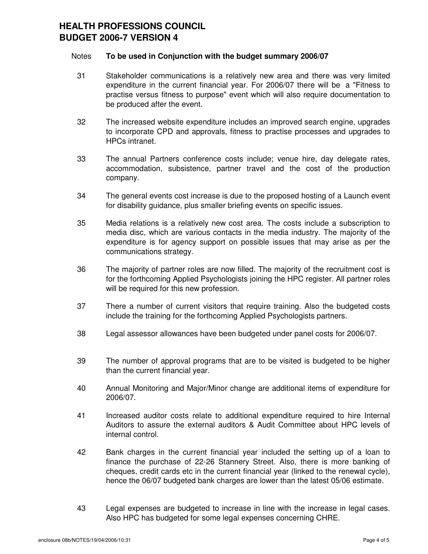### Notes **To be used in Conjunction with the budget summary 2006/07**

- 31 Stakeholder communications is a relatively new area and there was very limited expenditure in the current financial year. For 2006/07 there will be a "Fitness to practise versus fitness to purpose" event which will also require documentation to be produced after the event.
- 32 The increased website expenditure includes an improved search engine, upgrades to incorporate CPD and approvals, fitness to practise processes and upgrades to HPCs intranet.
- 33 The annual Partners conference costs include; venue hire, day delegate rates, accommodation, subsistence, partner travel and the cost of the production company.
- 34 The general events cost increase is due to the proposed hosting of a Launch event for disability guidance, plus smaller briefing events on specific issues.
- 35 Media relations is a relatively new cost area. The costs include a subscription to media disc, which are various contacts in the media industry. The majority of the expenditure is for agency support on possible issues that may arise as per the communications strategy.
- 36 The majority of partner roles are now filled. The majority of the recruitment cost is for the forthcoming Applied Psychologists joining the HPC register. All partner roles will be required for this new profession.
- 37 There a number of current visitors that require training. Also the budgeted costs include the training for the forthcoming Applied Psychologists partners.
- 38 Legal assessor allowances have been budgeted under panel costs for 2006/07.
- 39 The number of approval programs that are to be visited is budgeted to be higher than the current financial year.
- 40 Annual Monitoring and Major/Minor change are additional items of expenditure for 2006/07.
- 41 Increased auditor costs relate to additional expenditure required to hire Internal Auditors to assure the external auditors & Audit Committee about HPC levels of internal control.
- 42 Bank charges in the current financial year included the setting up of a loan to finance the purchase of 22-26 Stannery Street. Also, there is more banking of cheques, credit cards etc in the current financial year (linked to the renewal cycle), hence the 06/07 budgeted bank charges are lower than the latest 05/06 estimate.
- 43 Legal expenses are budgeted to increase in line with the increase in legal cases. Also HPC has budgeted for some legal expenses concerning CHRE.